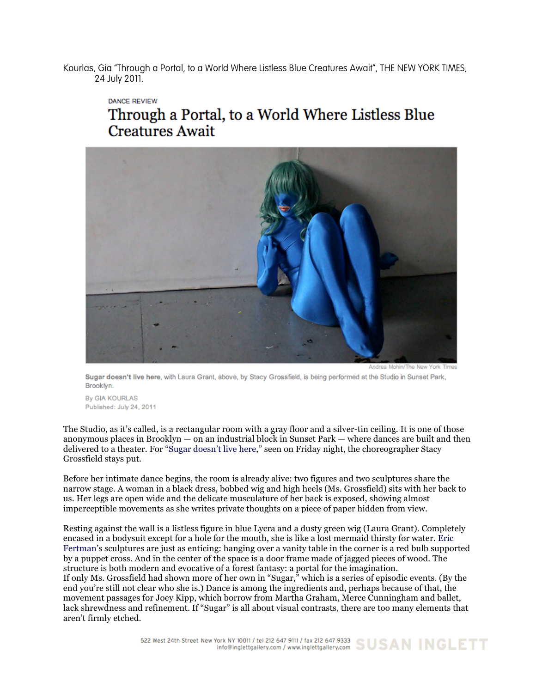Kourlas, Gia "Through a Portal, to a World Where Listless Blue Creatures Await", THE NEW YORK TIMES, 24 July 2011.

## **DANCE REVIEW** Through a Portal, to a World Where Listless Blue **Creatures Await**



Sugar doesn't live here, with Laura Grant, above, by Stacy Grossfield, is being performed at the Studio in Sunset Park, Brooklyn.

By GIA KOURLAS Published: July 24, 2011

The Studio, as it's called, is a rectangular room with a gray floor and a silver-tin ceiling. It is one of those anonymous places in Brooklyn — on an industrial block in Sunset Park — where dances are built and then delivered to a theater. For "Sugar doesn't live here," seen on Friday night, the choreographer Stacy Grossfield stays put.

Before her intimate dance begins, the room is already alive: two figures and two sculptures share the narrow stage. A woman in a black dress, bobbed wig and high heels (Ms. Grossfield) sits with her back to us. Her legs are open wide and the delicate musculature of her back is exposed, showing almost imperceptible movements as she writes private thoughts on a piece of paper hidden from view.

Resting against the wall is a listless figure in blue Lycra and a dusty green wig (Laura Grant). Completely encased in a bodysuit except for a hole for the mouth, she is like a lost mermaid thirsty for water. Eric Fertman's sculptures are just as enticing: hanging over a vanity table in the corner is a red bulb supported by a puppet cross. And in the center of the space is a door frame made of jagged pieces of wood. The structure is both modern and evocative of a forest fantasy: a portal for the imagination. If only Ms. Grossfield had shown more of her own in "Sugar," which is a series of episodic events. (By the end you're still not clear who she is.) Dance is among the ingredients and, perhaps because of that, the movement passages for Joey Kipp, which borrow from Martha Graham, Merce Cunningham and ballet, lack shrewdness and refinement. If "Sugar" is all about visual contrasts, there are too many elements that aren't firmly etched.

522 West 24th Street New York NY 10011 / tel 212 647 9111 / fax 212 647 9333 SUSAN INGLETT